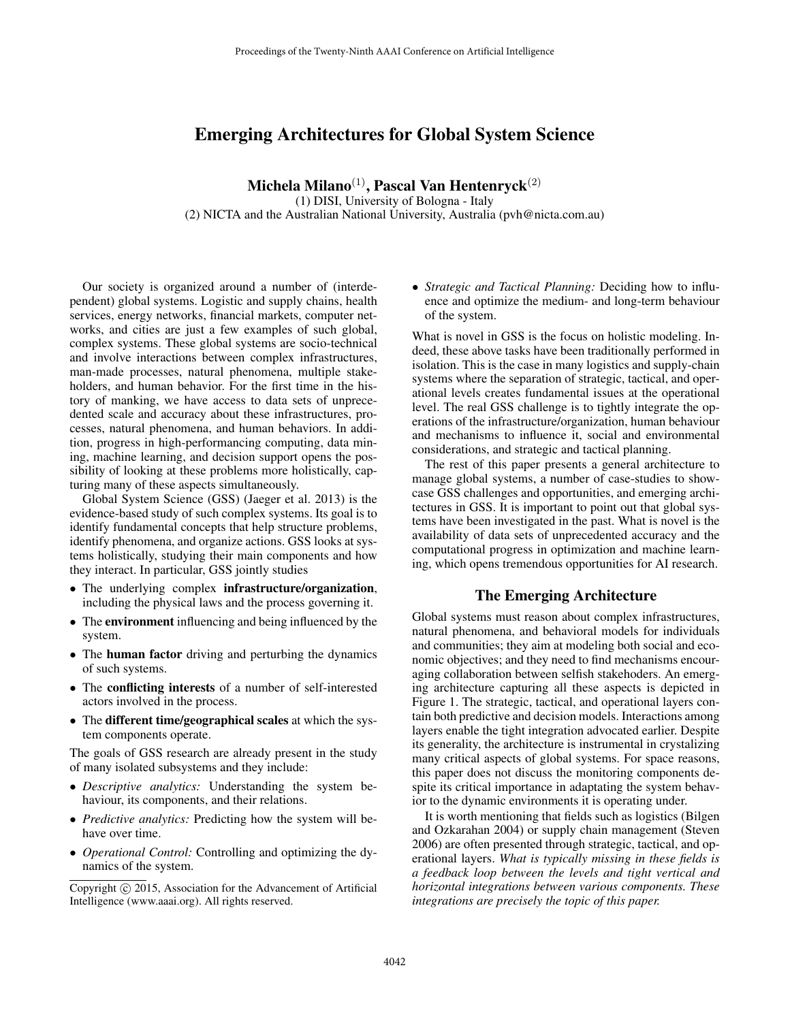# Emerging Architectures for Global System Science

Michela Milano<sup>(1)</sup>, Pascal Van Hentenryck<sup>(2)</sup>

(1) DISI, University of Bologna - Italy (2) NICTA and the Australian National University, Australia (pvh@nicta.com.au)

Our society is organized around a number of (interdependent) global systems. Logistic and supply chains, health services, energy networks, financial markets, computer networks, and cities are just a few examples of such global, complex systems. These global systems are socio-technical and involve interactions between complex infrastructures, man-made processes, natural phenomena, multiple stakeholders, and human behavior. For the first time in the history of manking, we have access to data sets of unprecedented scale and accuracy about these infrastructures, processes, natural phenomena, and human behaviors. In addition, progress in high-performancing computing, data mining, machine learning, and decision support opens the possibility of looking at these problems more holistically, capturing many of these aspects simultaneously.

Global System Science (GSS) (Jaeger et al. 2013) is the evidence-based study of such complex systems. Its goal is to identify fundamental concepts that help structure problems, identify phenomena, and organize actions. GSS looks at systems holistically, studying their main components and how they interact. In particular, GSS jointly studies

- The underlying complex infrastructure/organization, including the physical laws and the process governing it.
- The environment influencing and being influenced by the system.
- The human factor driving and perturbing the dynamics of such systems.
- The conflicting interests of a number of self-interested actors involved in the process.
- The different time/geographical scales at which the system components operate.

The goals of GSS research are already present in the study of many isolated subsystems and they include:

- *Descriptive analytics:* Understanding the system behaviour, its components, and their relations.
- *Predictive analytics:* Predicting how the system will behave over time.
- *Operational Control:* Controlling and optimizing the dynamics of the system.

• *Strategic and Tactical Planning:* Deciding how to influence and optimize the medium- and long-term behaviour of the system.

What is novel in GSS is the focus on holistic modeling. Indeed, these above tasks have been traditionally performed in isolation. This is the case in many logistics and supply-chain systems where the separation of strategic, tactical, and operational levels creates fundamental issues at the operational level. The real GSS challenge is to tightly integrate the operations of the infrastructure/organization, human behaviour and mechanisms to influence it, social and environmental considerations, and strategic and tactical planning.

The rest of this paper presents a general architecture to manage global systems, a number of case-studies to showcase GSS challenges and opportunities, and emerging architectures in GSS. It is important to point out that global systems have been investigated in the past. What is novel is the availability of data sets of unprecedented accuracy and the computational progress in optimization and machine learning, which opens tremendous opportunities for AI research.

### The Emerging Architecture

Global systems must reason about complex infrastructures, natural phenomena, and behavioral models for individuals and communities; they aim at modeling both social and economic objectives; and they need to find mechanisms encouraging collaboration between selfish stakehoders. An emerging architecture capturing all these aspects is depicted in Figure 1. The strategic, tactical, and operational layers contain both predictive and decision models. Interactions among layers enable the tight integration advocated earlier. Despite its generality, the architecture is instrumental in crystalizing many critical aspects of global systems. For space reasons, this paper does not discuss the monitoring components despite its critical importance in adaptating the system behavior to the dynamic environments it is operating under.

It is worth mentioning that fields such as logistics (Bilgen and Ozkarahan 2004) or supply chain management (Steven 2006) are often presented through strategic, tactical, and operational layers. *What is typically missing in these fields is a feedback loop between the levels and tight vertical and horizontal integrations between various components. These integrations are precisely the topic of this paper.*

Copyright (c) 2015, Association for the Advancement of Artificial Intelligence (www.aaai.org). All rights reserved.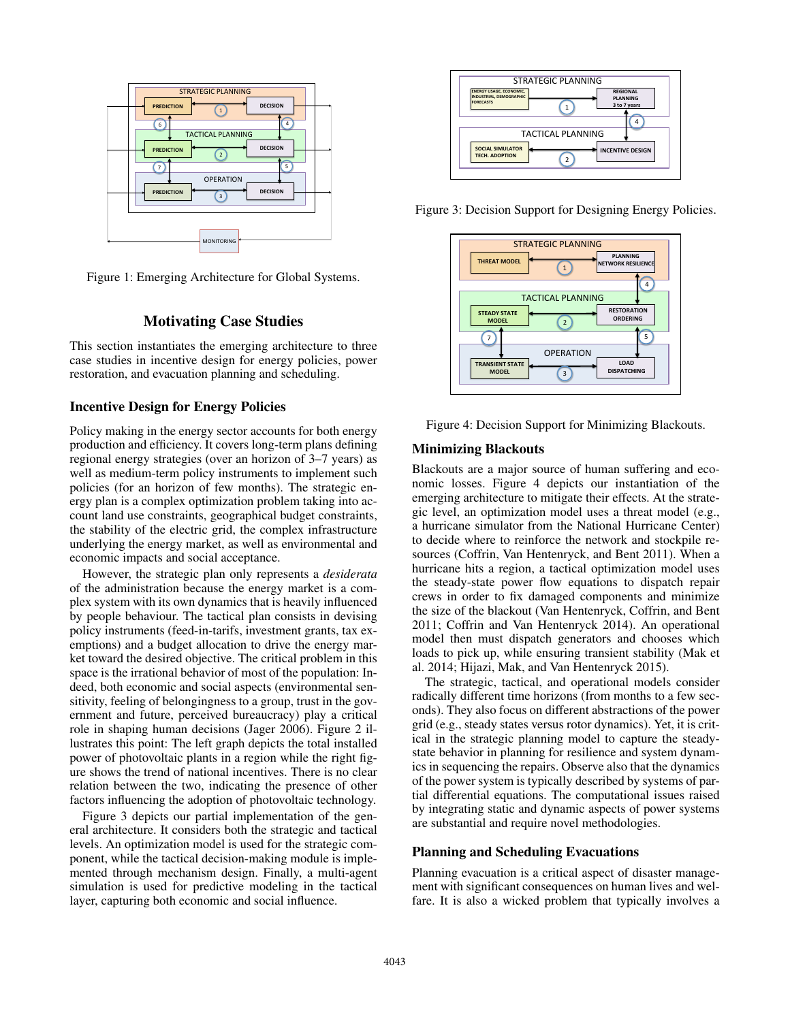

Figure 1: Emerging Architecture for Global Systems.

# Motivating Case Studies

This section instantiates the emerging architecture to three case studies in incentive design for energy policies, power restoration, and evacuation planning and scheduling.

### Incentive Design for Energy Policies

Policy making in the energy sector accounts for both energy production and efficiency. It covers long-term plans defining regional energy strategies (over an horizon of 3–7 years) as well as medium-term policy instruments to implement such policies (for an horizon of few months). The strategic energy plan is a complex optimization problem taking into account land use constraints, geographical budget constraints, the stability of the electric grid, the complex infrastructure underlying the energy market, as well as environmental and economic impacts and social acceptance.

However, the strategic plan only represents a *desiderata* of the administration because the energy market is a complex system with its own dynamics that is heavily influenced by people behaviour. The tactical plan consists in devising policy instruments (feed-in-tarifs, investment grants, tax exemptions) and a budget allocation to drive the energy market toward the desired objective. The critical problem in this space is the irrational behavior of most of the population: Indeed, both economic and social aspects (environmental sensitivity, feeling of belongingness to a group, trust in the government and future, perceived bureaucracy) play a critical role in shaping human decisions (Jager 2006). Figure 2 illustrates this point: The left graph depicts the total installed power of photovoltaic plants in a region while the right figure shows the trend of national incentives. There is no clear relation between the two, indicating the presence of other factors influencing the adoption of photovoltaic technology.

Figure 3 depicts our partial implementation of the general architecture. It considers both the strategic and tactical levels. An optimization model is used for the strategic component, while the tactical decision-making module is implemented through mechanism design. Finally, a multi-agent simulation is used for predictive modeling in the tactical layer, capturing both economic and social influence.



Figure 3: Decision Support for Designing Energy Policies.



Figure 4: Decision Support for Minimizing Blackouts.

#### Minimizing Blackouts

Blackouts are a major source of human suffering and economic losses. Figure 4 depicts our instantiation of the emerging architecture to mitigate their effects. At the strategic level, an optimization model uses a threat model (e.g., a hurricane simulator from the National Hurricane Center) to decide where to reinforce the network and stockpile resources (Coffrin, Van Hentenryck, and Bent 2011). When a hurricane hits a region, a tactical optimization model uses the steady-state power flow equations to dispatch repair crews in order to fix damaged components and minimize the size of the blackout (Van Hentenryck, Coffrin, and Bent 2011; Coffrin and Van Hentenryck 2014). An operational model then must dispatch generators and chooses which loads to pick up, while ensuring transient stability (Mak et al. 2014; Hijazi, Mak, and Van Hentenryck 2015).

The strategic, tactical, and operational models consider radically different time horizons (from months to a few seconds). They also focus on different abstractions of the power grid (e.g., steady states versus rotor dynamics). Yet, it is critical in the strategic planning model to capture the steadystate behavior in planning for resilience and system dynamics in sequencing the repairs. Observe also that the dynamics of the power system is typically described by systems of partial differential equations. The computational issues raised by integrating static and dynamic aspects of power systems are substantial and require novel methodologies.

### Planning and Scheduling Evacuations

Planning evacuation is a critical aspect of disaster management with significant consequences on human lives and welfare. It is also a wicked problem that typically involves a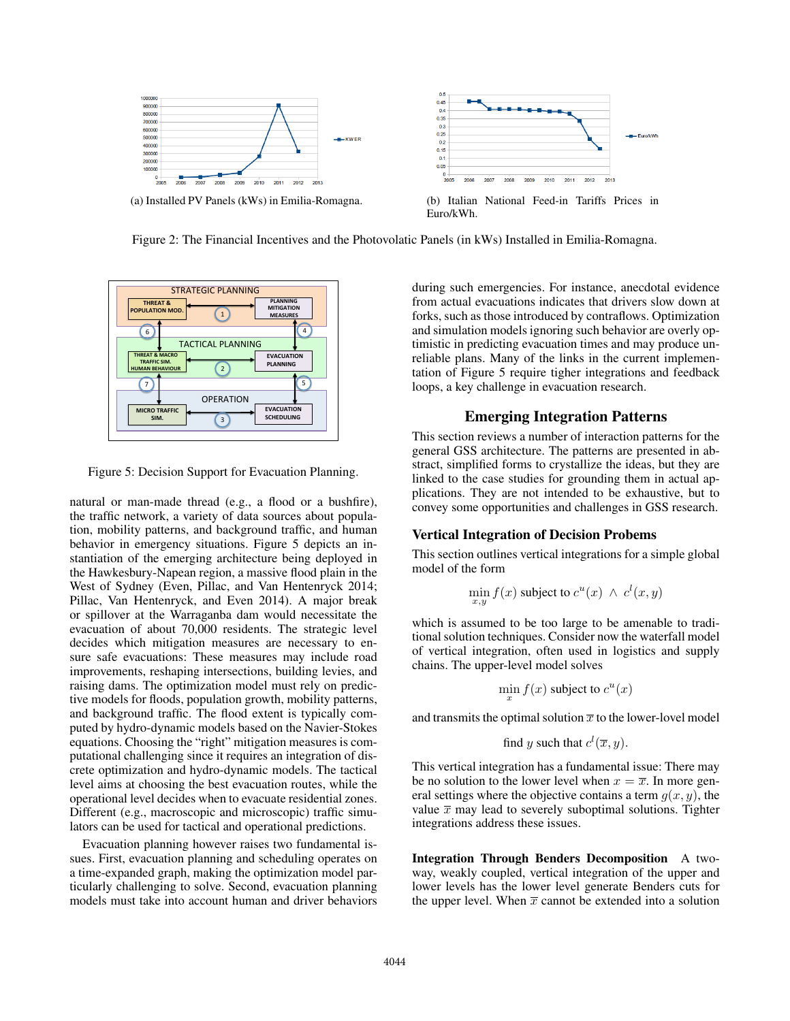

(a) Installed PV Panels (kWs) in Emilia-Romagna. (b) Italian National Feed-in Tariffs Prices in



Euro/kWh.

Figure 2: The Financial Incentives and the Photovolatic Panels (in kWs) Installed in Emilia-Romagna.



Figure 5: Decision Support for Evacuation Planning.

natural or man-made thread (e.g., a flood or a bushfire), the traffic network, a variety of data sources about population, mobility patterns, and background traffic, and human behavior in emergency situations. Figure 5 depicts an instantiation of the emerging architecture being deployed in the Hawkesbury-Napean region, a massive flood plain in the West of Sydney (Even, Pillac, and Van Hentenryck 2014; Pillac, Van Hentenryck, and Even 2014). A major break or spillover at the Warraganba dam would necessitate the evacuation of about 70,000 residents. The strategic level decides which mitigation measures are necessary to ensure safe evacuations: These measures may include road improvements, reshaping intersections, building levies, and raising dams. The optimization model must rely on predictive models for floods, population growth, mobility patterns, and background traffic. The flood extent is typically computed by hydro-dynamic models based on the Navier-Stokes equations. Choosing the "right" mitigation measures is computational challenging since it requires an integration of discrete optimization and hydro-dynamic models. The tactical level aims at choosing the best evacuation routes, while the operational level decides when to evacuate residential zones. Different (e.g., macroscopic and microscopic) traffic simulators can be used for tactical and operational predictions.

Evacuation planning however raises two fundamental issues. First, evacuation planning and scheduling operates on a time-expanded graph, making the optimization model particularly challenging to solve. Second, evacuation planning models must take into account human and driver behaviors

during such emergencies. For instance, anecdotal evidence from actual evacuations indicates that drivers slow down at forks, such as those introduced by contraflows. Optimization and simulation models ignoring such behavior are overly optimistic in predicting evacuation times and may produce unreliable plans. Many of the links in the current implementation of Figure 5 require tigher integrations and feedback loops, a key challenge in evacuation research.

### Emerging Integration Patterns

This section reviews a number of interaction patterns for the general GSS architecture. The patterns are presented in abstract, simplified forms to crystallize the ideas, but they are linked to the case studies for grounding them in actual applications. They are not intended to be exhaustive, but to convey some opportunities and challenges in GSS research.

### Vertical Integration of Decision Probems

This section outlines vertical integrations for a simple global model of the form

$$
\min_{x,y} f(x)
$$
 subject to  $c^u(x) \wedge c^l(x,y)$ 

which is assumed to be too large to be amenable to traditional solution techniques. Consider now the waterfall model of vertical integration, often used in logistics and supply chains. The upper-level model solves

$$
\min_x f(x)
$$
 subject to  $c^u(x)$ 

and transmits the optimal solution  $\bar{x}$  to the lower-lovel model

find y such that 
$$
c^l(\overline{x}, y)
$$
.

This vertical integration has a fundamental issue: There may be no solution to the lower level when  $x = \overline{x}$ . In more general settings where the objective contains a term  $q(x, y)$ , the value  $\bar{x}$  may lead to severely suboptimal solutions. Tighter integrations address these issues.

Integration Through Benders Decomposition A twoway, weakly coupled, vertical integration of the upper and lower levels has the lower level generate Benders cuts for the upper level. When  $\bar{x}$  cannot be extended into a solution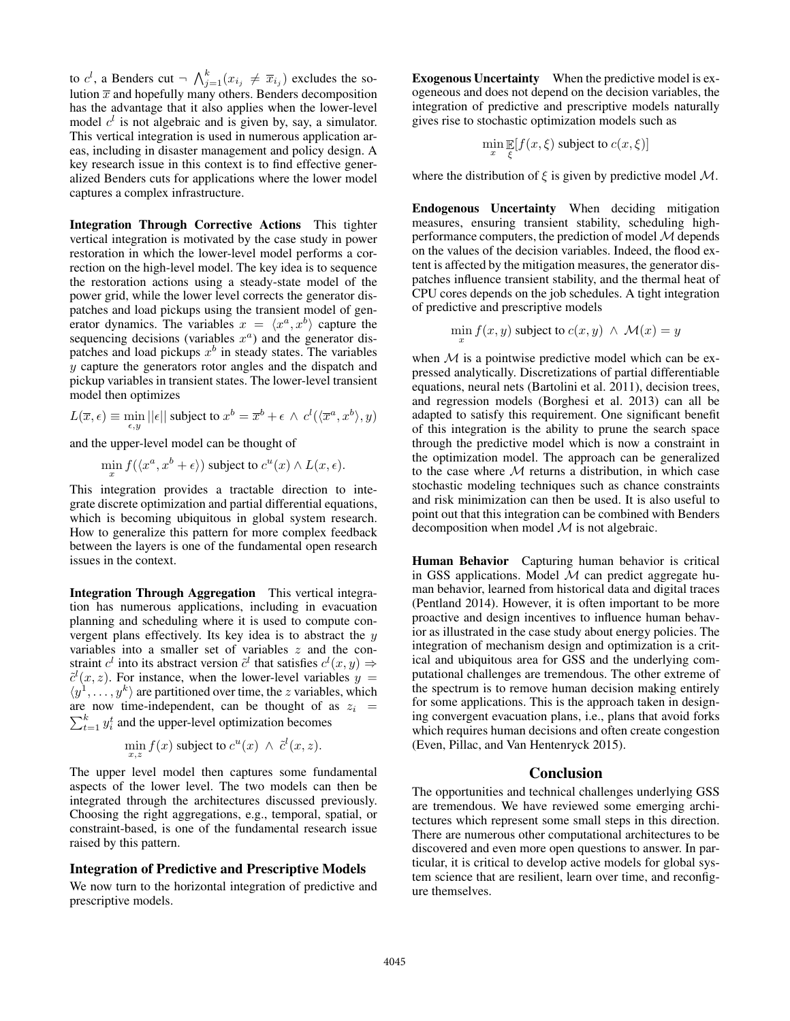to  $c^l$ , a Benders cut  $\neg \bigwedge_{j=1}^k (x_{i_j} \neq \overline{x}_{i_j})$  excludes the solution  $\bar{x}$  and hopefully many others. Benders decomposition has the advantage that it also applies when the lower-level model  $c^l$  is not algebraic and is given by, say, a simulator. This vertical integration is used in numerous application areas, including in disaster management and policy design. A key research issue in this context is to find effective generalized Benders cuts for applications where the lower model captures a complex infrastructure.

Integration Through Corrective Actions This tighter vertical integration is motivated by the case study in power restoration in which the lower-level model performs a correction on the high-level model. The key idea is to sequence the restoration actions using a steady-state model of the power grid, while the lower level corrects the generator dispatches and load pickups using the transient model of generator dynamics. The variables  $x = \langle x^a, x^b \rangle$  capture the sequencing decisions (variables  $x^a$ ) and the generator dispatches and load pickups  $x^b$  in steady states. The variables  $y$  capture the generators rotor angles and the dispatch and pickup variables in transient states. The lower-level transient model then optimizes

 $L(\overline{x}, \epsilon) \equiv \min_{\epsilon, y} ||\epsilon||$  subject to  $x^b = \overline{x}^b + \epsilon \, \wedge \, c^l(\langle \overline{x}^a, x^b \rangle, y)$ 

and the upper-level model can be thought of

$$
\min_x f(\langle x^a, x^b + \epsilon \rangle) \text{ subject to } c^u(x) \wedge L(x, \epsilon).
$$

This integration provides a tractable direction to integrate discrete optimization and partial differential equations, which is becoming ubiquitous in global system research. How to generalize this pattern for more complex feedback between the layers is one of the fundamental open research issues in the context.

Integration Through Aggregation This vertical integration has numerous applications, including in evacuation planning and scheduling where it is used to compute convergent plans effectively. Its key idea is to abstract the  $y$ variables into a smaller set of variables z and the constraint  $c^l$  into its abstract version  $\tilde{c}^l$  that satisfies  $c^l(x, y) \Rightarrow$  $\tilde{c}^{l}(x, z)$ . For instance, when the lower-level variables  $y =$  $\langle y^1, \ldots, y^k \rangle$  are partitioned over time, the *z* variables, which are now time-independent, can be thought of as  $z_i$  =  $\sum_{t=1}^{k} y_i^t$  and the upper-level optimization becomes

$$
\min_{x,z} f(x) \text{ subject to } c^u(x) \ \wedge \ \tilde{c}^l(x,z).
$$

The upper level model then captures some fundamental aspects of the lower level. The two models can then be integrated through the architectures discussed previously. Choosing the right aggregations, e.g., temporal, spatial, or constraint-based, is one of the fundamental research issue raised by this pattern.

### Integration of Predictive and Prescriptive Models

We now turn to the horizontal integration of predictive and prescriptive models.

Exogenous Uncertainty When the predictive model is exogeneous and does not depend on the decision variables, the integration of predictive and prescriptive models naturally gives rise to stochastic optimization models such as

$$
\min_x \mathop{\mathbb{E}}_{\xi} [f(x,\xi) \text{ subject to } c(x,\xi)]
$$

where the distribution of  $\xi$  is given by predictive model  $M$ .

Endogenous Uncertainty When deciding mitigation measures, ensuring transient stability, scheduling highperformance computers, the prediction of model  $M$  depends on the values of the decision variables. Indeed, the flood extent is affected by the mitigation measures, the generator dispatches influence transient stability, and the thermal heat of CPU cores depends on the job schedules. A tight integration of predictive and prescriptive models

$$
\min_x f(x, y) \text{ subject to } c(x, y) \land \mathcal{M}(x) = y
$$

when  $M$  is a pointwise predictive model which can be expressed analytically. Discretizations of partial differentiable equations, neural nets (Bartolini et al. 2011), decision trees, and regression models (Borghesi et al. 2013) can all be adapted to satisfy this requirement. One significant benefit of this integration is the ability to prune the search space through the predictive model which is now a constraint in the optimization model. The approach can be generalized to the case where  $M$  returns a distribution, in which case stochastic modeling techniques such as chance constraints and risk minimization can then be used. It is also useful to point out that this integration can be combined with Benders decomposition when model  $M$  is not algebraic.

Human Behavior Capturing human behavior is critical in GSS applications. Model  $M$  can predict aggregate human behavior, learned from historical data and digital traces (Pentland 2014). However, it is often important to be more proactive and design incentives to influence human behavior as illustrated in the case study about energy policies. The integration of mechanism design and optimization is a critical and ubiquitous area for GSS and the underlying computational challenges are tremendous. The other extreme of the spectrum is to remove human decision making entirely for some applications. This is the approach taken in designing convergent evacuation plans, i.e., plans that avoid forks which requires human decisions and often create congestion (Even, Pillac, and Van Hentenryck 2015).

### **Conclusion**

The opportunities and technical challenges underlying GSS are tremendous. We have reviewed some emerging architectures which represent some small steps in this direction. There are numerous other computational architectures to be discovered and even more open questions to answer. In particular, it is critical to develop active models for global system science that are resilient, learn over time, and reconfigure themselves.